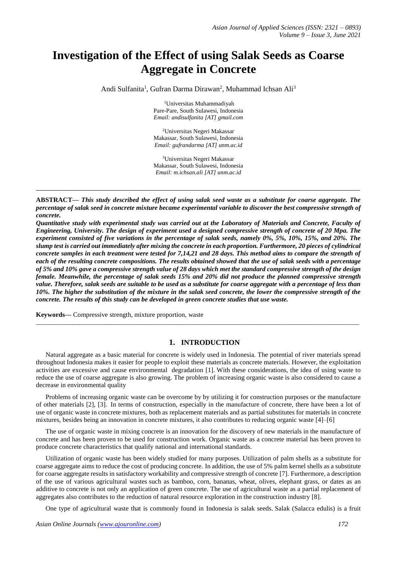# **Investigation of the Effect of using Salak Seeds as Coarse Aggregate in Concrete**

Andi Sulfanita<sup>1</sup>, Gufran Darma Dirawan<sup>2</sup>, Muhammad Ichsan Ali<sup>3</sup>

<sup>1</sup>Universitas Muhammadiyah Pare-Pare, South Sulawesi, Indonesia *Email: andisulfanita [AT] gmail.com*

<sup>2</sup>Universitas Negeri Makassar Makassar, South Sulawesi, Indonesia *Email: gufrandarma [AT] unm.ac.id*

<sup>3</sup>Universitas Negeri Makassar Makassar, South Sulawesi, Indonesia *Email: m.ichsan.ali [AT] unm.ac.id*

**ABSTRACT—** *This study described the effect of using salak seed waste as a substitute for coarse aggregate. The percentage of salak seed in concrete mixture became experimental variable to discover the best compressive strength of concrete.* 

**\_\_\_\_\_\_\_\_\_\_\_\_\_\_\_\_\_\_\_\_\_\_\_\_\_\_\_\_\_\_\_\_\_\_\_\_\_\_\_\_\_\_\_\_\_\_\_\_\_\_\_\_\_\_\_\_\_\_\_\_\_\_\_\_\_\_\_\_\_\_\_\_\_\_\_\_\_\_\_\_\_**

*Quantitative study with experimental study was carried out at the Laboratory of Materials and Concrete, Faculty of Engineering, University. The design of experiment used a designed compressive strength of concrete of 20 Mpa. The experiment consisted of five variations in the percentage of salak seeds, namely 0%, 5%, 10%, 15%, and 20%. The slump test is carried out immediately after mixing the concrete in each proportion. Furthermore, 20 pieces of cylindrical concrete samples in each treatment were tested for 7,14,21 and 28 days. This method aims to compare the strength of each of the resulting concrete compositions. The results obtained showed that the use of salak seeds with a percentage of 5% and 10% gave a compressive strength value of 28 days which met the standard compressive strength of the design female. Meanwhile, the percentage of salak seeds 15% and 20% did not produce the planned compressive strength value. Therefore, salak seeds are suitable to be used as a substitute for coarse aggregate with a percentage of less than 10%. The higher the substitution of the mixture in the salak seed concrete, the lower the compressive strength of the concrete. The results of this study can be developed in green concrete studies that use waste.*

**Keywords**--- Compressive strength, mixture proportion, waste

#### **1. INTRODUCTION**

Natural aggregate as a basic material for concrete is widely used in Indonesia. The potential of river materials spread throughout Indonesia makes it easier for people to exploit these materials as concrete materials. However, the exploitation activities are excessive and cause environmental degradation [1]. With these considerations, the idea of using waste to reduce the use of coarse aggregate is also growing. The problem of increasing organic waste is also considered to cause a decrease in environmental quality

**\_\_\_\_\_\_\_\_\_\_\_\_\_\_\_\_\_\_\_\_\_\_\_\_\_\_\_\_\_\_\_\_\_\_\_\_\_\_\_\_\_\_\_\_\_\_\_\_\_\_\_\_\_\_\_\_\_\_\_\_\_\_\_\_\_\_\_\_\_\_\_\_\_\_\_\_\_\_\_\_\_\_\_\_\_\_\_\_\_\_\_\_\_\_\_\_\_**

Problems of increasing organic waste can be overcome by by utilizing it for construction purposes or the manufacture of other materials [2], [3]. In terms of construction, especially in the manufacture of concrete, there have been a lot of use of organic waste in concrete mixtures, both as replacement materials and as partial substitutes for materials in concrete mixtures, besides being an innovation in concrete mixtures, it also contributes to reducing organic waste [4]–[6]

The use of organic waste in mixing concrete is an innovation for the discovery of new materials in the manufacture of concrete and has been proven to be used for construction work. Organic waste as a concrete material has been proven to produce concrete characteristics that qualify national and international standards.

Utilization of organic waste has been widely studied for many purposes. Utilization of palm shells as a substitute for coarse aggregate aims to reduce the cost of producing concrete. In addition, the use of 5% palm kernel shells as a substitute for coarse aggregate results in satisfactory workability and compressive strength of concrete [7]. Furthermore, a description of the use of various agricultural wastes such as bamboo, corn, bananas, wheat, olives, elephant grass, or dates as an additive to concrete is not only an application of green concrete. The use of agricultural waste as a partial replacement of aggregates also contributes to the reduction of natural resource exploration in the construction industry [8].

One type of agricultural waste that is commonly found in Indonesia is salak seeds. Salak (Salacca edulis) is a fruit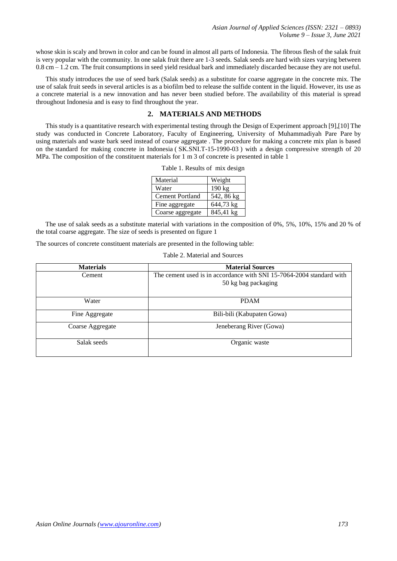*Asian Journal of Applied Sciences (ISSN: 2321 – 0893) Volume 9 – Issue 3, June 2021*

whose skin is scaly and brown in color and can be found in almost all parts of Indonesia. The fibrous flesh of the salak fruit is very popular with the community. In one salak fruit there are 1-3 seeds. Salak seeds are hard with sizes varying between 0.8 cm – 1.2 cm. The fruit consumptions in seed yield residual bark and immediately discarded because they are not useful.

This study introduces the use of seed bark (Salak seeds) as a substitute for coarse aggregate in the concrete mix. The use of salak fruit seeds in several articles is as a biofilm bed to release the sulfide content in the liquid. However, its use as a concrete material is a new innovation and has never been studied before. The availability of this material is spread throughout Indonesia and is easy to find throughout the year.

# **2. MATERIALS AND METHODS**

This study is a quantitative research with experimental testing through the Design of Experiment approach [9],[10] The study was conducted in Concrete Laboratory, Faculty of Engineering, University of Muhammadiyah Pare Pare by using materials and waste bark seed instead of coarse aggregate . The procedure for making a concrete mix plan is based on the standard for making concrete in Indonesia ( SK.SNI.T-15-1990-03 ) with a design compressive strength of 20 MPa. The composition of the constituent materials for 1 m 3 of concrete is presented in table 1

| Material               | Weight     |
|------------------------|------------|
| Water                  | 190 kg     |
| <b>Cement Portland</b> | 542, 86 kg |
| Fine aggregate         | 644,73 kg  |
| Coarse aggregate       | 845,41 kg  |

Table 1. Results of mix design

The use of salak seeds as a substitute material with variations in the composition of 0%, 5%, 10%, 15% and 20 % of the total coarse aggregate. The size of seeds is presented on figure 1

The sources of concrete constituent materials are presented in the following table:

| Table 2. Material and Sources |  |
|-------------------------------|--|
|-------------------------------|--|

| <b>Materials</b> | <b>Material Sources</b>                                              |  |  |
|------------------|----------------------------------------------------------------------|--|--|
| Cement           | The cement used is in accordance with SNI 15-7064-2004 standard with |  |  |
|                  | 50 kg bag packaging                                                  |  |  |
|                  |                                                                      |  |  |
| Water            | <b>PDAM</b>                                                          |  |  |
| Fine Aggregate   | Bili-bili (Kabupaten Gowa)                                           |  |  |
| Coarse Aggregate | Jeneberang River (Gowa)                                              |  |  |
| Salak seeds      | Organic waste                                                        |  |  |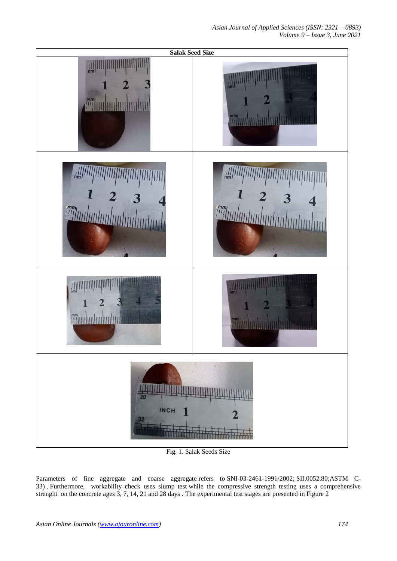

Fig. 1. Salak Seeds Size

Parameters of fine aggregate and coarse aggregate refers to SNI-03-2461-1991/2002; SII.0052.80;ASTM C-33) . Furthermore, workability check uses slump test while the compressive strength testing uses a comprehensive strenght on the concrete ages 3, 7, 14, 21 and 28 days . The experimental test stages are presented in Figure 2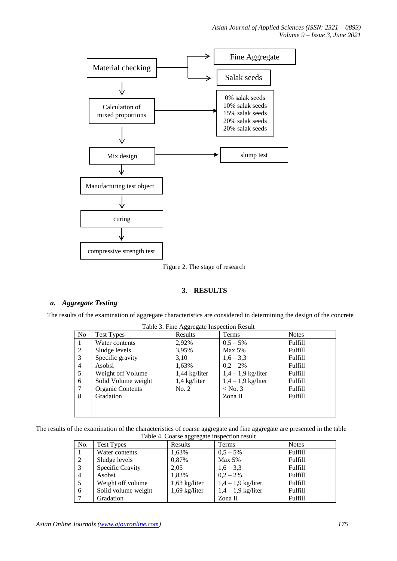*Asian Journal of Applied Sciences (ISSN: 2321 – 0893) Volume 9 – Issue 3, June 2021*



Figure 2. The stage of research

## **3. RESULTS**

## *a. Aggregate Testing*

The results of the examination of aggregate characteristics are considered in determining the design of the concrete

Table 3. Fine Aggregate Inspection Result

| N <sub>o</sub> | Test Types              | Results         | Terms              | <b>Notes</b> |
|----------------|-------------------------|-----------------|--------------------|--------------|
|                | Water contents          | 2,92%           | $0.5 - 5\%$        | Fulfill      |
| 2              | Sludge levels           | 3,95%           | Max 5%             | Fulfill      |
| 3              | Specific gravity        | 3,10            | $1,6 - 3,3$        | Fulfill      |
| 4              | Asobsi                  | 1,63%           | $0.2 - 2\%$        | Fulfill      |
| 5              | Weight off Volume       | $1,44$ kg/liter | $1,4-1,9$ kg/liter | Fulfill      |
| 6              | Solid Volume weight     | $1,4$ kg/liter  | $1,4-1,9$ kg/liter | Fulfill      |
| 7              | <b>Organic Contents</b> | No. 2           | $<$ No. 3          | Fulfill      |
| 8              | Gradation               |                 | Zona II            | Fulfill      |
|                |                         |                 |                    |              |
|                |                         |                 |                    |              |

The results of the examination of the characteristics of coarse aggregate and fine aggregate are presented in the table Table 4. Coarse aggregate inspection result

| No. | Test Types          | Results         | Terms              | <b>Notes</b> |
|-----|---------------------|-----------------|--------------------|--------------|
|     | Water contents      | 1,63%           | $0,5 - 5\%$        | Fulfill      |
| 2   | Sludge levels       | 0,87%           | <b>Max 5%</b>      | Fulfill      |
| 3   | Specific Gravity    | 2,05            | $1,6-3,3$          | Fulfill      |
| 4   | Asobsi              | 1,83%           | $0,2 - 2\%$        | Fulfill      |
|     | Weight off volume   | $1,63$ kg/liter | $1,4-1,9$ kg/liter | Fulfill      |
| 6   | Solid volume weight | $1,69$ kg/liter | $1,4-1,9$ kg/liter | Fulfill      |
|     | Gradation           |                 | Zona II            | Fulfill      |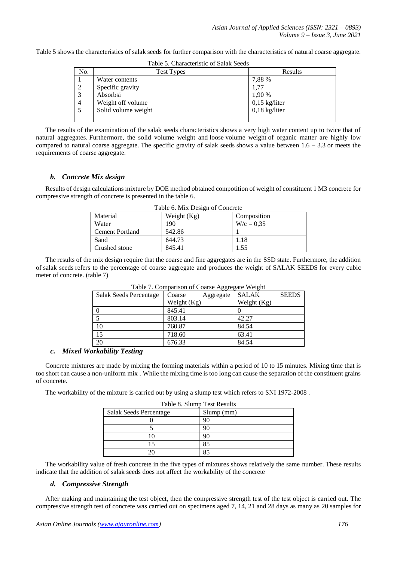Table 5 shows the characteristics of salak seeds for further comparison with the characteristics of natural coarse aggregate.

| Table 5. Characteristic of Salak Seeds |                     |                 |  |
|----------------------------------------|---------------------|-----------------|--|
| No.                                    | <b>Test Types</b>   | Results         |  |
|                                        | Water contents      | 7,88 %          |  |
| 2                                      | Specific gravity    | 1,77            |  |
| $\overline{3}$                         | Absorbsi            | 1,90 %          |  |
| $\overline{4}$                         | Weight off volume   | $0,15$ kg/liter |  |
| - 5                                    | Solid volume weight | $0,18$ kg/liter |  |
|                                        |                     |                 |  |

The results of the examination of the salak seeds characteristics shows a very high water content up to twice that of natural aggregates. Furthermore, the solid volume weight and loose volume weight of organic matter are highly low compared to natural coarse aggregate. The specific gravity of salak seeds shows a value between  $1.6 - 3.3$  or meets the requirements of coarse aggregate.

## *b. Concrete Mix design*

Results of design calculations mixture by DOE method obtained compotition of weight of constituent 1 M3 concrete for compressive strength of concrete is presented in the table 6.

| Table 0. MIA Design of Concrete |               |              |  |
|---------------------------------|---------------|--------------|--|
| Material                        | Weight $(Kg)$ | Composition  |  |
| Water                           | 190           | $W/c = 0.35$ |  |
| <b>Cement Portland</b>          | 542.86        |              |  |
| Sand                            | 644.73        | 1.18         |  |
| Crushed stone                   | 845.41        | 1.55         |  |
|                                 |               |              |  |

Table 6. Mix Design of Concrete

The results of the mix design require that the coarse and fine aggregates are in the SSD state. Furthermore, the addition of salak seeds refers to the percentage of coarse aggregate and produces the weight of SALAK SEEDS for every cubic meter of concrete. (table 7)

| Table 7. Comparison of Coarse Aggregate weight |               |           |               |              |
|------------------------------------------------|---------------|-----------|---------------|--------------|
| Salak Seeds Percentage                         | Coarse        | Aggregate | <b>SALAK</b>  | <b>SEEDS</b> |
|                                                | Weight $(Kg)$ |           | Weight $(Kg)$ |              |
|                                                | 845.41        |           |               |              |
|                                                | 803.14        |           | 42.27         |              |
| 10                                             | 760.87        |           | 84.54         |              |
| 15                                             | 718.60        |           | 63.41         |              |
| 20                                             | 676.33        |           | 84.54         |              |

Table 7. Comparison of Coarse Aggregate Weight

#### *c. Mixed Workability Testing*

Concrete mixtures are made by mixing the forming materials within a period of 10 to 15 minutes. Mixing time that is too short can cause a non-uniform mix . While the mixing time is too long can cause the separation of the constituent grains of concrete.

The workability of the mixture is carried out by using a slump test which refers to SNI 1972-2008 .

| Table 8. Slump Test Results   |            |  |
|-------------------------------|------------|--|
| <b>Salak Seeds Percentage</b> | Slump (mm) |  |
|                               | 90         |  |
|                               | 90         |  |
|                               | 90         |  |
|                               | 85         |  |
|                               |            |  |

The workability value of fresh concrete in the five types of mixtures shows relatively the same number. These results indicate that the addition of salak seeds does not affect the workability of the concrete

#### *d. Compressive Strength*

After making and maintaining the test object, then the compressive strength test of the test object is carried out. The compressive strength test of concrete was carried out on specimens aged 7, 14, 21 and 28 days as many as 20 samples for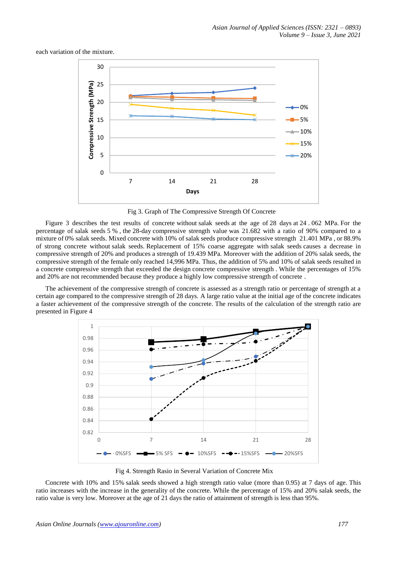each variation of the mixture.



Fig 3. Graph of The Compressive Strength Of Concrete

Figure 3 describes the test results of concrete without salak seeds at the age of 28 days at 24 . 062 MPa. For the percentage of salak seeds 5 % , the 28-day compressive strength value was 21.682 with a ratio of 90% compared to a mixture of 0% salak seeds. Mixed concrete with 10% of salak seeds produce compressive strength 21.401 MPa , or 88.9% of strong concrete without salak seeds. Replacement of 15% coarse aggregate with salak seeds causes a decrease in compressive strength of 20% and produces a strength of 19.439 MPa. Moreover with the addition of 20% salak seeds, the compressive strength of the female only reached 14,996 MPa. Thus, the addition of 5% and 10% of salak seeds resulted in a concrete compressive strength that exceeded the design concrete compressive strength . While the percentages of 15% and 20% are not recommended because they produce a highly low compressive strength of concrete .

The achievement of the compressive strength of concrete is assessed as a strength ratio or percentage of strength at a certain age compared to the compressive strength of 28 days. A large ratio value at the initial age of the concrete indicates a faster achievement of the compressive strength of the concrete. The results of the calculation of the strength ratio are presented in Figure 4



Fig 4. Strength Rasio in Several Variation of Concrete Mix

Concrete with 10% and 15% salak seeds showed a high strength ratio value (more than 0.95) at 7 days of age. This ratio increases with the increase in the generality of the concrete. While the percentage of 15% and 20% salak seeds, the ratio value is very low. Moreover at the age of 21 days the ratio of attainment of strength is less than 95%.